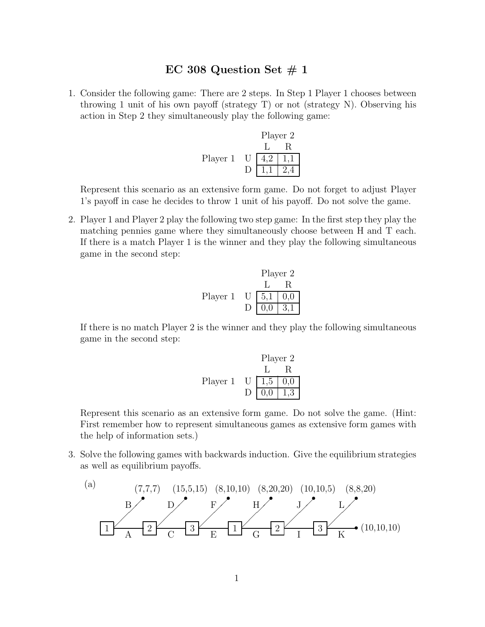### EC 308 Question Set  $\#$  1

1. Consider the following game: There are 2 steps. In Step 1 Player 1 chooses between throwing 1 unit of his own payoff (strategy T) or not (strategy N). Observing his action in Step 2 they simultaneously play the following game:

Player 2 L R Player 1 U 4,2 1,1 D 1,1 2,4

Represent this scenario as an extensive form game. Do not forget to adjust Player 1's payoff in case he decides to throw 1 unit of his payoff. Do not solve the game.

2. Player 1 and Player 2 play the following two step game: In the first step they play the matching pennies game where they simultaneously choose between H and T each. If there is a match Player 1 is the winner and they play the following simultaneous game in the second step:

Player 2 L R Player 1 U 5,1 0,0 D 0,0 3,1

If there is no match Player 2 is the winner and they play the following simultaneous game in the second step:

Player 2  
\n
$$
\begin{array}{c|c}\n & L & R \\
\hline\nL & R & \\
\hline\nD & 0,0 & 1,3\n\end{array}
$$

Represent this scenario as an extensive form game. Do not solve the game. (Hint: First remember how to represent simultaneous games as extensive form games with the help of information sets.)

3. Solve the following games with backwards induction. Give the equilibrium strategies as well as equilibrium payoffs.

(a) 
$$
(7,7,7)
$$
 (15,5,15) (8,10,10) (8,20,20) (10,10,5) (8,8,20)  
\nB\nB\nC\n3\nE\n1\nG\n2\nI\n3\nK\n(10,10,10)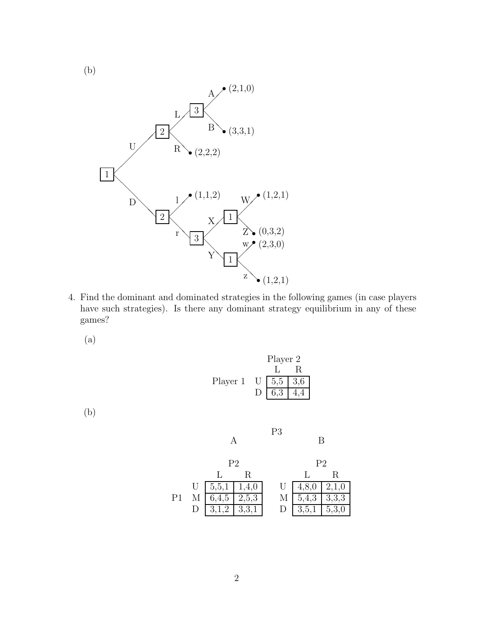(b)



4. Find the dominant and dominated strategies in the following games (in case players have such strategies). Is there any dominant strategy equilibrium in any of these games?

(a)



(b)

|    | P2                                 |      | P2                                |    |
|----|------------------------------------|------|-----------------------------------|----|
|    |                                    | - R. |                                   | R. |
|    | U   5,5,1   1,4,0                  |      | U $\boxed{4,8,0}$ $\boxed{2,1,0}$ |    |
| P1 | $M \mid 6,4,5 \mid 2,5,3$          |      | $M \mid 5,4,3 \mid 3,3,3$         |    |
|    | $D \left[ 3, 1, 2 \right] 3, 3, 1$ |      | D $\boxed{3,5,1 \mid 5,3,0}$      |    |

B

A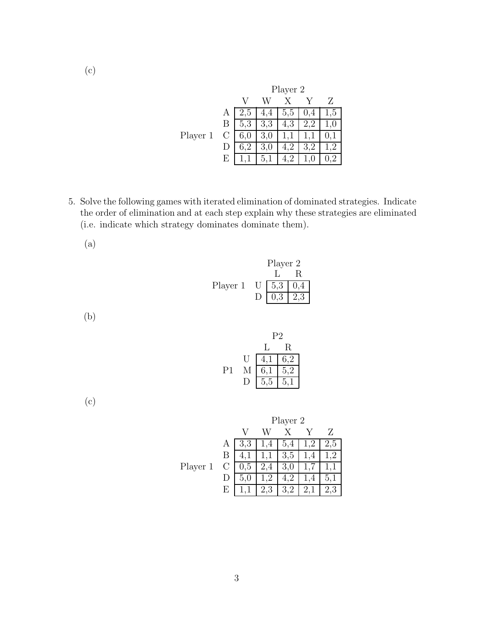|          |         |         | Player 2 |     |                     |     |
|----------|---------|---------|----------|-----|---------------------|-----|
|          |         |         |          |     |                     |     |
|          | A       | Ġ       | 4<br>4.  | 5,5 | .4                  | 1,5 |
|          | В       | 5.3     | 3,3      | 4,3 | $\overline{2}$<br>2 |     |
| Player 1 | $\rm C$ | 0.U     | 3,0      |     |                     |     |
|          |         | $6.2\,$ | 3,0      |     |                     |     |
|          | Е       |         |          |     |                     |     |

- 5. Solve the following games with iterated elimination of dominated strategies. Indicate the order of elimination and at each step explain why these strategies are eliminated (i.e. indicate which strategy dominates dominate them).
	- (a)

|          | Player 2        |     |
|----------|-----------------|-----|
|          |                 | R.  |
| Player 1 | $U$   5,3   0,4 |     |
|          | 0,3             | 2,3 |

(b)

|    |   | ΡŽ           |                |  |
|----|---|--------------|----------------|--|
|    |   | $\mathbf{1}$ | R.             |  |
|    | U | 4,1          | 6,2            |  |
| Р1 | М | 6,1          | 5,2            |  |
|    |   | 5,5          | 5 <sub>1</sub> |  |

(c)

|          |    | Player 2 |       |     |  |     |
|----------|----|----------|-------|-----|--|-----|
|          |    |          |       |     |  | Z   |
|          | A  | 3,3      | 4     | 5,4 |  | 2,5 |
|          | В  |          |       | 3,5 |  |     |
| Player 1 | C  | U,b      | $\pm$ | 3,0 |  |     |
|          |    | 5.U      |       |     |  | 5.1 |
|          | F, |          |       |     |  |     |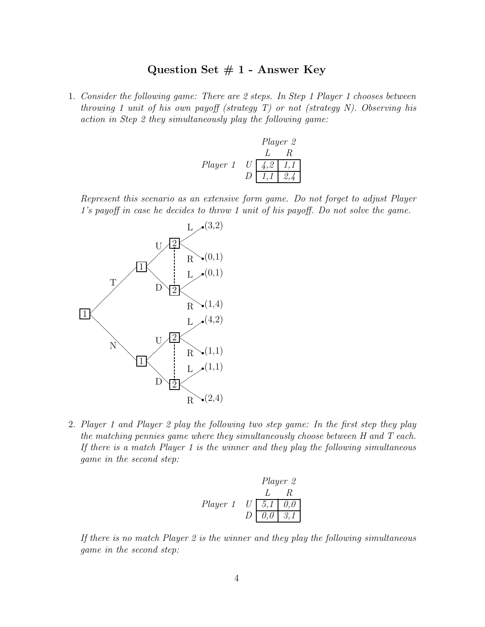# **Question Set # 1 - Answer Key**

1. Consider the following game: There are 2 steps. In Step 1 Player 1 chooses between throwing 1 unit of his own payoff (strategy  $T$ ) or not (strategy  $N$ ). Observing his action in Step 2 they simultaneously play the following game:

| Player 2 |                  |                 |       |
|----------|------------------|-----------------|-------|
| L        | R                |                 |       |
| Player 1 | U                | $\overline{4,2$ | $1,1$ |
| D        | $\overline{1,1}$ | $2,4$           |       |

Represent this scenario as an extensive form game. Do not forget to adjust Player 1's payoff in case he decides to throw 1 unit of his payoff. Do not solve the game.



2. Player 1 and Player 2 play the following two step game: In the first step they play the matching pennies game where they simultaneously choose between H and T each. If there is a match Player 1 is the winner and they play the following simultaneous game in the second step:

| Player 2 |                  |                  |                  |
|----------|------------------|------------------|------------------|
| L        | R                |                  |                  |
| Player 1 | U                | $\overline{5,1}$ | $\overline{0,0}$ |
| D        | $\overline{0,0}$ | $\overline{3,1}$ |                  |

If there is no match Player 2 is the winner and they play the following simultaneous game in the second step: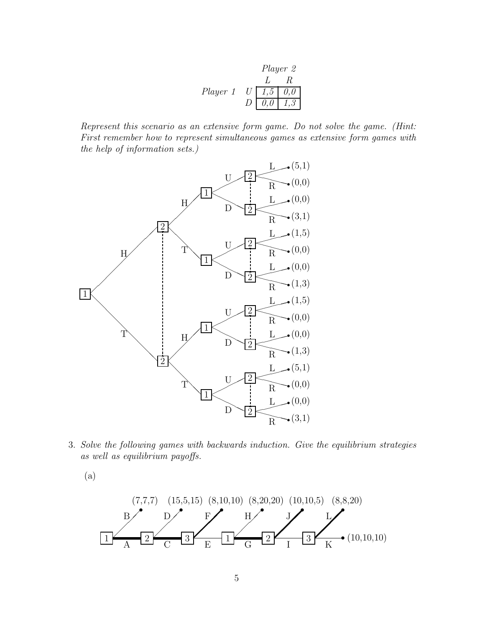| Player 2 |               |               |               |
|----------|---------------|---------------|---------------|
| L        | R             |               |               |
| Player 1 | U             | $\boxed{1,5}$ | $\boxed{0,0}$ |
| D        | $\boxed{0,0}$ | $\boxed{1,3}$ |               |

Represent this scenario as an extensive form game. Do not solve the game. (Hint: First remember how to represent simultaneous games as extensive form games with the help of information sets.)



3. Solve the following games with backwards induction. Give the equilibrium strategies as well as equilibrium payoffs.

(a)

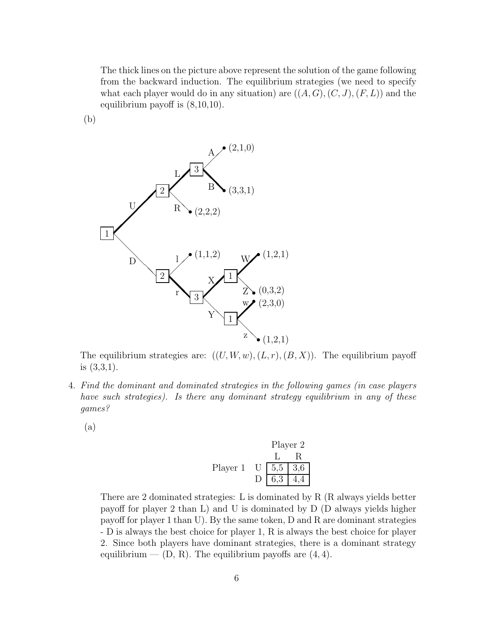The thick lines on the picture above represent the solution of the game following from the backward induction. The equilibrium strategies (we need to specify what each player would do in any situation) are  $((A, G), (C, J), (F, L))$  and the equilibrium payoff is (8,10,10).

(b)



The equilibrium strategies are:  $((U, W, w), (L, r), (B, X))$ . The equilibrium payoff is (3,3,1).

- 4. Find the dominant and dominated strategies in the following games (in case players have such strategies). Is there any dominant strategy equilibrium in any of these games?
	- (a)

Player 2  
\nL R  
\nPlayer 1 U 
$$
\overline{5,5}
$$
 3,6  
\nD 6,3 4,4

There are 2 dominated strategies: L is dominated by R (R always yields better payoff for player 2 than L) and U is dominated by D (D always yields higher payoff for player 1 than U). By the same token, D and R are dominant strategies - D is always the best choice for player 1, R is always the best choice for player 2. Since both players have dominant strategies, there is a dominant strategy equilibrium  $-$  (D, R). The equilibrium payoffs are  $(4, 4)$ .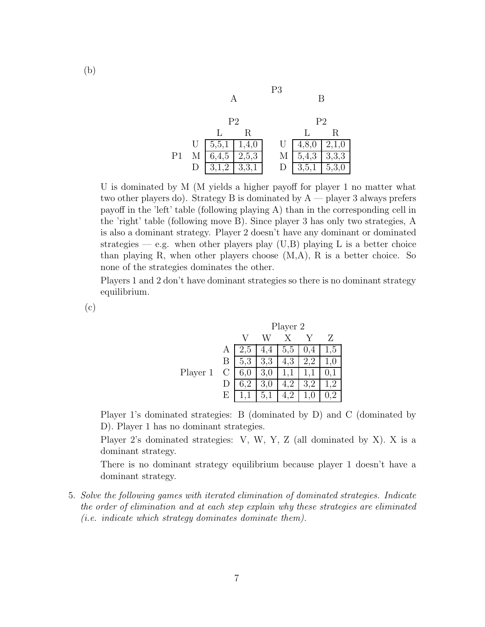|    | P <sub>2</sub>        |       |  |   | P <sub>2</sub> |       |
|----|-----------------------|-------|--|---|----------------|-------|
|    |                       | R     |  |   |                | R     |
|    | U   $5,5,1$   $1,4,0$ |       |  | U | 4,8,0          | 2,1,0 |
| Ρ1 | 6,4,5                 | 2,5,3 |  | М | 5,4,3          | 3,3,3 |
|    | 3,1,2                 | 3,3,1 |  |   | 3,5,1          | 5,3,0 |

P3

U is dominated by M (M yields a higher payoff for player 1 no matter what two other players do). Strategy B is dominated by  $A$  — player 3 always prefers payoff in the 'left' table (following playing A) than in the corresponding cell in the 'right' table (following move B). Since player 3 has only two strategies, A is also a dominant strategy. Player 2 doesn't have any dominant or dominated strategies — e.g. when other players play  $(U,B)$  playing L is a better choice than playing R, when other players choose  $(M, A)$ , R is a better choice. So none of the strategies dominates the other.

Players 1 and 2 don't have dominant strategies so there is no dominant strategy equilibrium.

(c)

|          |         | Player 2 |         |                |     |         |
|----------|---------|----------|---------|----------------|-----|---------|
|          |         |          |         |                |     |         |
|          | А       | 2.5      | 4<br>4, | 5,5            | 0,4 | 1,5     |
|          | B       | 5,3      | 3,3     | 4,3            |     | $1{,}0$ |
| Player 1 | $\rm C$ | 6,0      | 3,0     |                |     |         |
|          |         | $6.2\,$  | 3,0     | $\overline{2}$ |     | .2      |
|          | E       |          | 5,1     |                |     |         |

Player 1's dominated strategies: B (dominated by D) and C (dominated by D). Player 1 has no dominant strategies.

Player 2's dominated strategies: V, W, Y, Z (all dominated by X). X is a dominant strategy.

There is no dominant strategy equilibrium because player 1 doesn't have a dominant strategy.

5. Solve the following games with iterated elimination of dominated strategies. Indicate the order of elimination and at each step explain why these strategies are eliminated  $(i.e. indicate which strategy dominates dominate them).$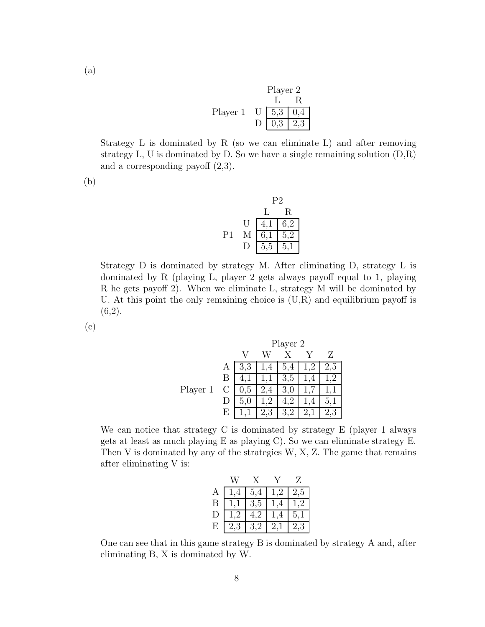|          | Player 2 |             |   |  |
|----------|----------|-------------|---|--|
|          |          |             | R |  |
| Player 1 |          | $U$ 5.3 0.4 |   |  |
|          |          | 0,3 2,3     |   |  |

Strategy L is dominated by R (so we can eliminate L) and after removing strategy  $L$ ,  $U$  is dominated by  $D$ . So we have a single remaining solution  $(D,R)$ and a corresponding payoff (2,3).

(b)

|    |    | P2  |     |  |
|----|----|-----|-----|--|
|    |    | L   | R.  |  |
|    | U  | 4,1 | 6,2 |  |
| P1 | М  | 6,1 | 5,2 |  |
|    | 17 | 5,5 | 5,1 |  |

Strategy D is dominated by strategy M. After eliminating D, strategy L is dominated by R (playing L, player 2 gets always payoff equal to 1, playing R he gets payoff 2). When we eliminate L, strategy M will be dominated by U. At this point the only remaining choice is  $(U,R)$  and equilibrium payoff is  $(6,2)$ .

(c)

|          |         |     | Player 2 |     |   |     |
|----------|---------|-----|----------|-----|---|-----|
|          |         |     |          |     |   |     |
|          | A       | 3,3 | 4        | 5,4 |   | 2,5 |
|          | В       |     |          | 3,5 | 4 |     |
| Player 1 | $\rm C$ | 0,5 | 2,4      | 3,0 |   |     |
|          |         | 5,  |          | 4.2 | 4 |     |
|          | E       |     | 2,3      | 3,2 |   |     |

We can notice that strategy C is dominated by strategy E (player 1 always gets at least as much playing  $E$  as playing  $C$ ). So we can eliminate strategy  $E$ . Then V is dominated by any of the strategies W, X, Z. The game that remains after eliminating V is:

|   | 1.4 | 5,4 | 1,2 | 2,5 |
|---|-----|-----|-----|-----|
| Β |     | 3,5 | 1,4 | 1,2 |
| D | .2  | 4,2 |     | 5,1 |
| E | 2.3 | 3,2 | 2.  | 2.3 |

One can see that in this game strategy B is dominated by strategy A and, after eliminating B, X is dominated by W.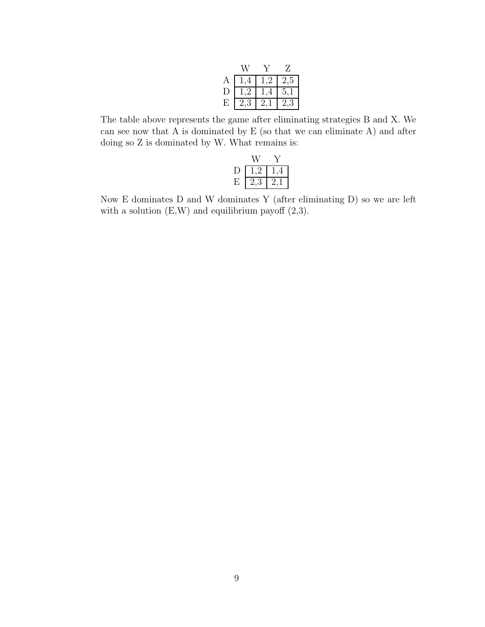|                |    |     | Z   |
|----------------|----|-----|-----|
| $\overline{A}$ |    | 1.2 | 2,5 |
| $\Box$         | -9 |     | 5.  |
| E              | ٠, |     | ्   |

The table above represents the game after eliminating strategies B and X. We can see now that A is dominated by E (so that we can eliminate A) and after doing so Z is dominated by W. What remains is:

|    | $\pm$ |
|----|-------|
| ٠, | .,    |

Now E dominates D and W dominates Y (after eliminating D) so we are left with a solution  $(E, W)$  and equilibrium payoff  $(2,3)$ .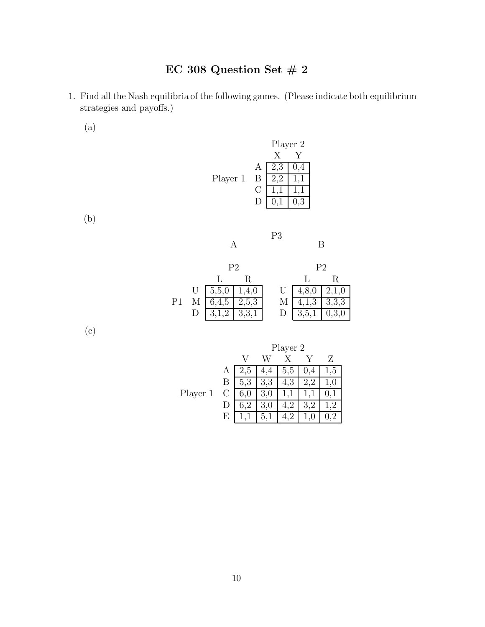- 1. Find all the Nash equilibria of the following games. (Please indicate both equilibrium strategies and payoffs.)
	- (a)

|          |   | Player 2 |              |
|----------|---|----------|--------------|
|          |   |          |              |
|          | А | 2,3      | 0,4          |
| Player 1 | В |          | $\mathbf{1}$ |
|          | G |          |              |
|          |   |          | 3            |

(b)

|    |   |                  |                | - - |                |       |
|----|---|------------------|----------------|-----|----------------|-------|
|    |   |                  | P <sub>2</sub> |     | P <sub>2</sub> |       |
|    |   |                  | R              |     |                | R     |
|    |   | $U \mid 5, 5, 0$ | 1,4,0          | U   | 4,8,0          | 2,1,0 |
| Ρ1 |   | 6,4,5            | 2,5,3          | М   | 4,1,3          | 3,3,3 |
|    | D | 3,1,2            | 3,3,1          |     | 3,5,1          | 0,3,0 |

P3

(c)

|          |   | Player 2 |     |     |  |     |  |
|----------|---|----------|-----|-----|--|-----|--|
|          |   |          |     |     |  |     |  |
|          | А |          |     | 5,5 |  | 1,5 |  |
|          | В | 5.3      | 3,3 | 4.3 |  | ι.  |  |
| Player 1 | U | 6,0      | 3,0 |     |  |     |  |
|          |   |          | 3,0 |     |  | 2   |  |
|          | н |          | 5,  |     |  |     |  |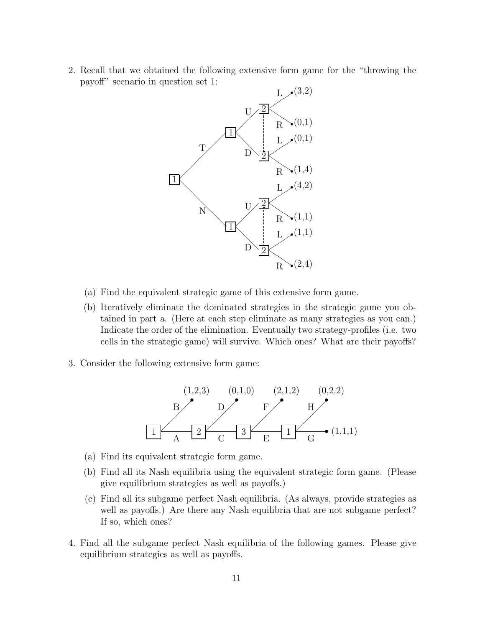2. Recall that we obtained the following extensive form game for the "throwing the payoff" scenario in question set 1:



- (a) Find the equivalent strategic game of this extensive form game.
- (b) Iteratively eliminate the dominated strategies in the strategic game you obtained in part a. (Here at each step eliminate as many strategies as you can.) Indicate the order of the elimination. Eventually two strategy-profiles (i.e. two cells in the strategic game) will survive. Which ones? What are their payoffs?
- 3. Consider the following extensive form game:



- (a) Find its equivalent strategic form game.
- (b) Find all its Nash equilibria using the equivalent strategic form game. (Please give equilibrium strategies as well as payoffs.)
- (c) Find all its subgame perfect Nash equilibria. (As always, provide strategies as well as payoffs.) Are there any Nash equilibria that are not subgame perfect? If so, which ones?
- 4. Find all the subgame perfect Nash equilibria of the following games. Please give equilibrium strategies as well as payoffs.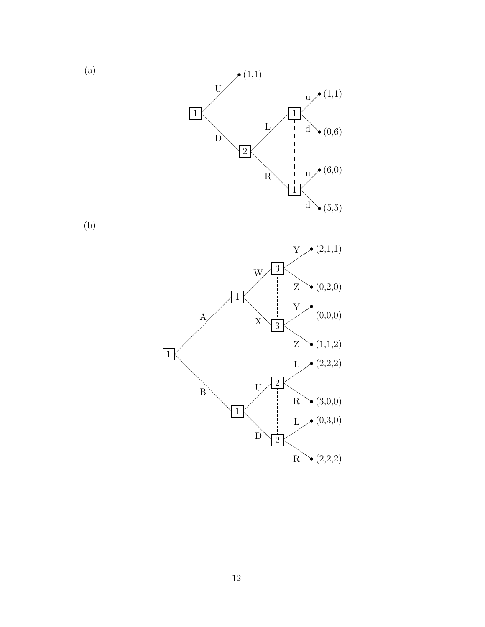

(b)

(a)

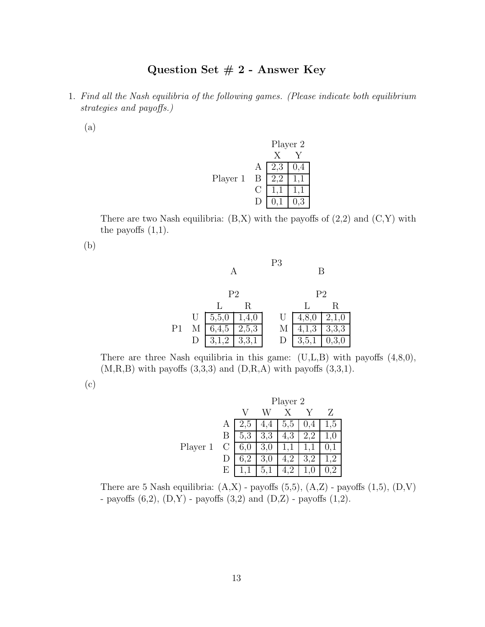# **Question Set # 2 - Answer Key**

1. Find all the Nash equilibria of the following games. (Please indicate both equilibrium strategies and payoffs.)

(a)



There are two Nash equilibria:  $(B,X)$  with the payoffs of  $(2,2)$  and  $(C,Y)$  with the payoffs  $(1,1)$ .

(b)

|                |                |         |       | P <sub>3</sub> |       | R              |
|----------------|----------------|---------|-------|----------------|-------|----------------|
|                | P <sub>2</sub> |         |       |                |       | P <sub>2</sub> |
|                |                |         | R     |                |       | R              |
|                | U              | 5, 5, 0 | 1,4,0 | U              | 4.    | 2,1,0          |
| P <sub>1</sub> |                | 6,4,5   | 2,5,3 | М              | 4,1,3 | 3,3,3          |
|                |                |         | 3,3,1 | D              | 3,5,1 |                |

There are three Nash equilibria in this game:  $(U,L,B)$  with payoffs  $(4,8,0)$ ,  $(M,R,B)$  with payoffs  $(3,3,3)$  and  $(D,R,A)$  with payoffs  $(3,3,1)$ .

(c)

|          |    | Player 2 |     |     |     |     |
|----------|----|----------|-----|-----|-----|-----|
|          |    |          |     |     |     | Z   |
|          | А  | G        | 4   | 6.6 | 4   | 1,5 |
|          | Β  | 5.3      | 3,3 | 4,3 | 2,2 | L.U |
| Player 1 | С  | $6.0\,$  | 3,0 |     |     |     |
|          |    |          | 3,0 |     | 3,2 | ,2  |
|          | F) |          | 5,1 |     |     |     |

There are 5 Nash equilibria:  $(A,X)$  - payoffs  $(5,5)$ ,  $(A,Z)$  - payoffs  $(1,5)$ ,  $(D,V)$ - payoffs  $(6,2)$ ,  $(D,Y)$  - payoffs  $(3,2)$  and  $(D,Z)$  - payoffs  $(1,2)$ .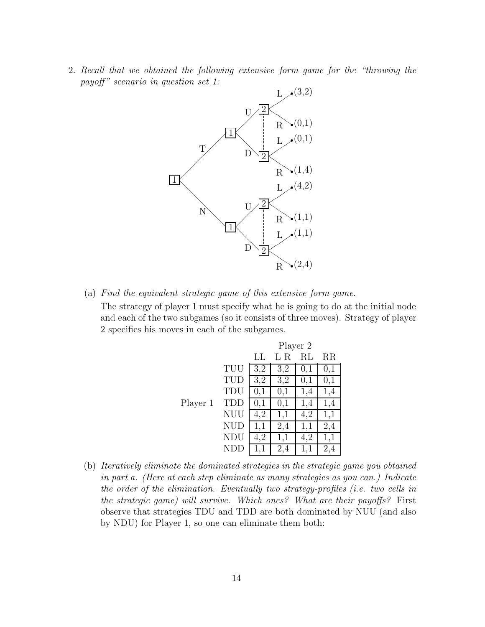2. Recall that we obtained the following extensive form game for the "throwing the payoff" scenario in question set 1:



(a) Find the equivalent strategic game of this extensive form game.

The strategy of player 1 must specify what he is going to do at the initial node and each of the two subgames (so it consists of three moves). Strategy of player 2 specifies his moves in each of the subgames.

|          |            | Player 2 |     |     |             |  |  |
|----------|------------|----------|-----|-----|-------------|--|--|
|          |            | LL       | -R  | RL  | $_{\rm RR}$ |  |  |
|          | TUU        | 3,2      | 3,2 | 0,1 | 0,1         |  |  |
|          | TUD        | 3,2      | 3,2 | 0,1 | 0,1         |  |  |
|          | TDU        | 0,1      | 0,1 | 1,4 | 1,4         |  |  |
| Player 1 | TDD        | 0,1      | 0,1 | 1,4 | 1,4         |  |  |
|          | NUU        | 4,2      | 1,1 | 4,2 | 1,1         |  |  |
|          | <b>NUD</b> | 1,1      | 2,4 | 1,1 | 2,4         |  |  |
|          | <b>NDU</b> | 4,2      | 1,1 | 4,2 | 1,1         |  |  |
|          |            |          | 2,4 | 1,1 | 2,4         |  |  |

(b) Iteratively eliminate the dominated strategies in the strategic game you obtained in part a. (Here at each step eliminate as many strategies as you can.) Indicate the order of the elimination. Eventually two strategy-profiles (i.e. two cells in the strategic game) will survive. Which ones? What are their payoffs? First observe that strategies TDU and TDD are both dominated by NUU (and also by NDU) for Player 1, so one can eliminate them both: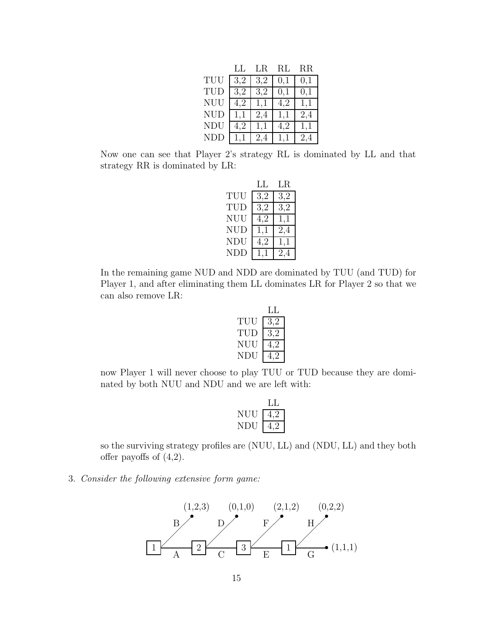|            | LL  | LR  | RL  | $_{\rm RR}$ |
|------------|-----|-----|-----|-------------|
| TUU        | 3,2 | 3,2 | 0,1 | 0,1         |
| TUD        | 3,2 | 3,2 | 0,1 | 0,1         |
| NUU        | 4,2 | 1,1 | 4,2 | 1,1         |
| <b>NUD</b> | 1,1 | 2,4 | 1,1 | 2,4         |
| <b>NDU</b> | 4.2 | 1,1 | 4.2 | 1,1         |
| <b>NDD</b> |     | 2,4 |     | 2.4         |

Now one can see that Player 2's strategy RL is dominated by LL and that strategy RR is dominated by LR:

|                   | LL  | LR  |
|-------------------|-----|-----|
| $_{\mathrm{TUU}}$ | 3,2 | 3,2 |
| TUD               | 3,2 | 3,2 |
| NUU               | 4,2 | 1,1 |
| NUD               | 1,1 | 2,4 |
| NDU               | 4,2 | 1,1 |
| NDD               | 1,1 | 2.4 |

In the remaining game NUD and NDD are dominated by TUU (and TUD) for Player 1, and after eliminating them LL dominates LR for Player 2 so that we can also remove LR:

|     | LL. |
|-----|-----|
| TUU | 3.2 |
| TUD | 3.2 |
| NUU | 4,2 |
| NDU |     |

now Player 1 will never choose to play TUU or TUD because they are dominated by both NUU and NDU and we are left with:

| NHH | 4 Z |
|-----|-----|
| NDU |     |

so the surviving strategy profiles are (NUU, LL) and (NDU, LL) and they both offer payoffs of  $(4,2)$ .

#### 3. Consider the following extensive form game:

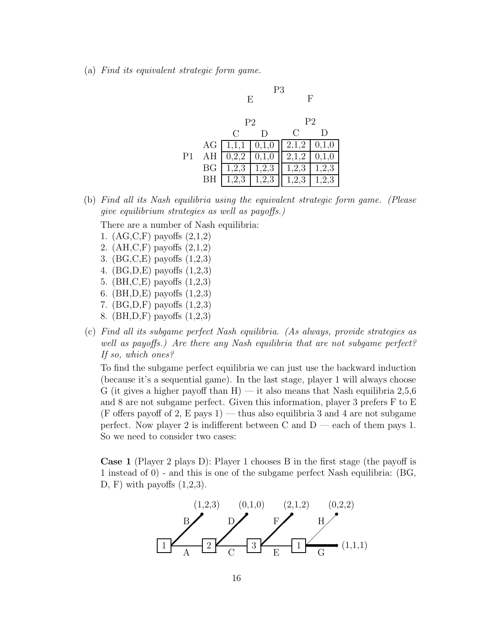(a) Find its equivalent strategic form game.



(b) Find all its Nash equilibria using the equivalent strategic form game. (Please give equilibrium strategies as well as payoffs.)

There are a number of Nash equilibria:

- 1. (AG,C,F) payoffs (2,1,2)
- 2. (AH,C,F) payoffs (2,1,2)
- 3. (BG,C,E) payoffs (1,2,3)
- 4. (BG,D,E) payoffs (1,2,3)
- 5. (BH,C,E) payoffs (1,2,3)
- 6. (BH,D,E) payoffs (1,2,3)
- 7. (BG,D,F) payoffs (1,2,3)
- 8. (BH,D,F) payoffs (1,2,3)
- (c) Find all its subgame perfect Nash equilibria. (As always, provide strategies as well as payoffs.) Are there any Nash equilibria that are not subgame perfect? If so, which ones?

To find the subgame perfect equilibria we can just use the backward induction (because it's a sequential game). In the last stage, player 1 will always choose G (it gives a higher payoff than H) — it also means that Nash equilibria  $2,5,6$ and 8 are not subgame perfect. Given this information, player 3 prefers F to E (F offers payoff of 2, E pays 1) — thus also equilibria 3 and 4 are not subgame perfect. Now player 2 is indifferent between C and  $D$  — each of them pays 1. So we need to consider two cases:

**Case 1** (Player 2 plays D): Player 1 chooses B in the first stage (the payoff is 1 instead of 0) - and this is one of the subgame perfect Nash equilibria: (BG, D, F) with payoffs  $(1,2,3)$ .

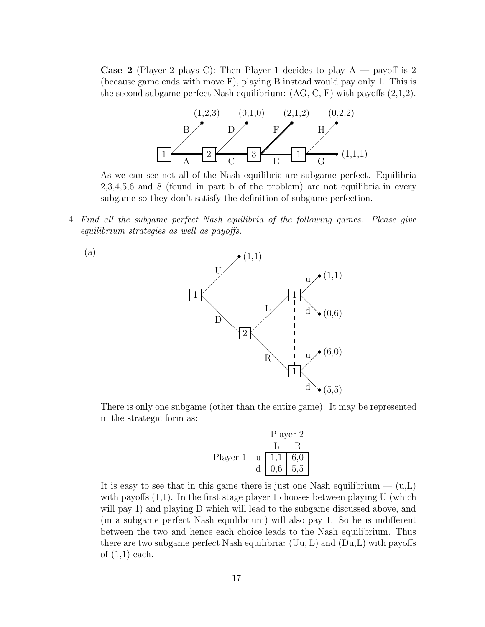**Case 2** (Player 2 plays C): Then Player 1 decides to play  $A$  — payoff is 2 (because game ends with move F), playing B instead would pay only 1. This is the second subgame perfect Nash equilibrium:  $(AG, C, F)$  with payoffs  $(2,1,2)$ .



As we can see not all of the Nash equilibria are subgame perfect. Equilibria 2,3,4,5,6 and 8 (found in part b of the problem) are not equilibria in every subgame so they don't satisfy the definition of subgame perfection.

4. Find all the subgame perfect Nash equilibria of the following games. Please give equilibrium strategies as well as payoffs.



There is only one subgame (other than the entire game). It may be represented in the strategic form as:

Player 2  
\n
$$
\begin{array}{c|c}\n & L & R \\
\hline\nL & R & \\
\hline\nd & 1,1 & 6,0 \\
\hline\nd & 0,6 & 5,5\n\end{array}
$$

It is easy to see that in this game there is just one Nash equilibrium  $- (u,L)$ with payoffs  $(1,1)$ . In the first stage player 1 chooses between playing U (which will pay 1) and playing D which will lead to the subgame discussed above, and (in a subgame perfect Nash equilibrium) will also pay 1. So he is indifferent between the two and hence each choice leads to the Nash equilibrium. Thus there are two subgame perfect Nash equilibria: (Uu, L) and (Du,L) with payoffs of  $(1,1)$  each.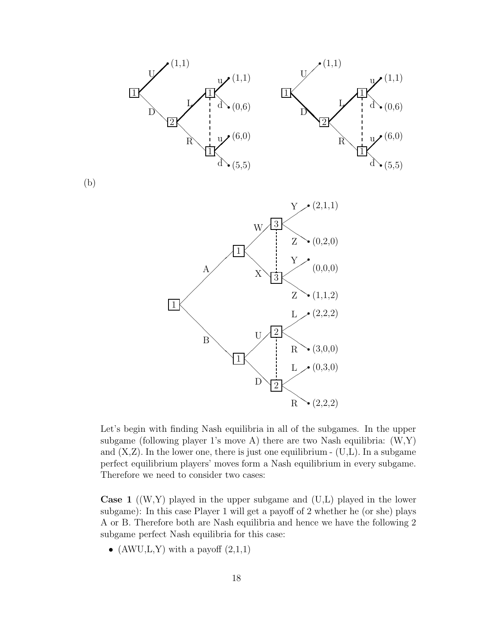

Let's begin with finding Nash equilibria in all of the subgames. In the upper subgame (following player 1's move A) there are two Nash equilibria:  $(W,Y)$ and  $(X,Z)$ . In the lower one, there is just one equilibrium -  $(U,L)$ . In a subgame perfect equilibrium players' moves form a Nash equilibrium in every subgame. Therefore we need to consider two cases:

-

R

**Case 1** ((W,Y) played in the upper subgame and (U,L) played in the lower subgame): In this case Player 1 will get a payoff of 2 whether he (or she) plays A or B. Therefore both are Nash equilibria and hence we have the following 2 subgame perfect Nash equilibria for this case:

• (AWU,L,Y) with a payoff  $(2,1,1)$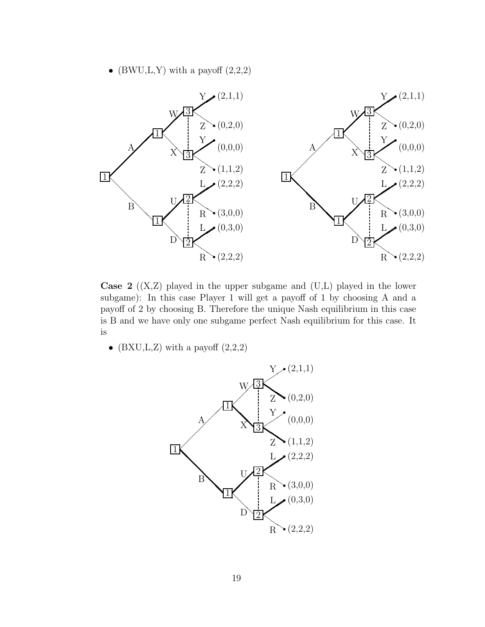• (BWU,L,Y) with a payoff  $(2,2,2)$ 



**Case 2** ((X,Z) played in the upper subgame and (U,L) played in the lower subgame): In this case Player 1 will get a payoff of 1 by choosing A and a payoff of 2 by choosing B. Therefore the unique Nash equilibrium in this case is B and we have only one subgame perfect Nash equilibrium for this case. It is

•  $(BXU,L,Z)$  with a payoff  $(2,2,2)$ 

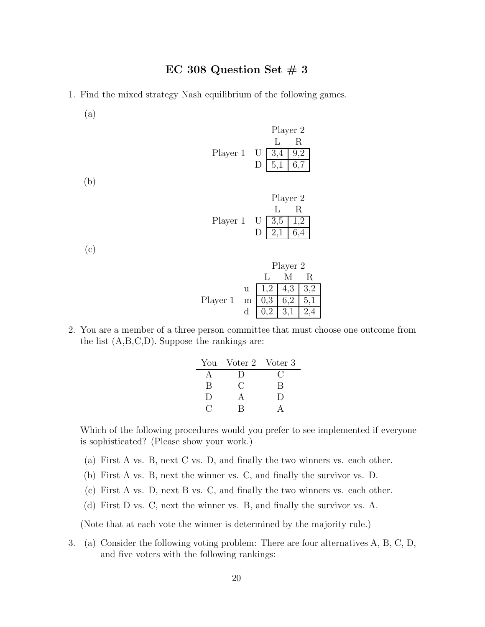- 1. Find the mixed strategy Nash equilibrium of the following games.
	- (a)

(b)

| Player 1 | U<br>D | Player 2<br>L<br>$\beta$<br>5,1 | R<br>9,2<br>6,7 |  |
|----------|--------|---------------------------------|-----------------|--|
| Player 1 | U      | Player 2<br>3,5                 | R               |  |

(c)

|          |   | Player 2 |     |    |
|----------|---|----------|-----|----|
|          |   |          |     | R. |
|          | u | 1,2      | 4,3 |    |
| Player 1 | m | 0,3      |     |    |
|          | d |          |     |    |

2. You are a member of a three person committee that must choose one outcome from the list (A,B,C,D). Suppose the rankings are:

| You    | Voter 2 Voter 3 |           |
|--------|-----------------|-----------|
|        | I)              |           |
| B      | ( )             | B         |
| $\Box$ | А               | $\vert$ ) |
|        | R               |           |

Which of the following procedures would you prefer to see implemented if everyone is sophisticated? (Please show your work.)

- (a) First A vs. B, next C vs. D, and finally the two winners vs. each other.
- (b) First A vs. B, next the winner vs. C, and finally the survivor vs. D.
- (c) First A vs. D, next B vs. C, and finally the two winners vs. each other.
- (d) First D vs. C, next the winner vs. B, and finally the survivor vs. A.

(Note that at each vote the winner is determined by the majority rule.)

3. (a) Consider the following voting problem: There are four alternatives A, B, C, D, and five voters with the following rankings: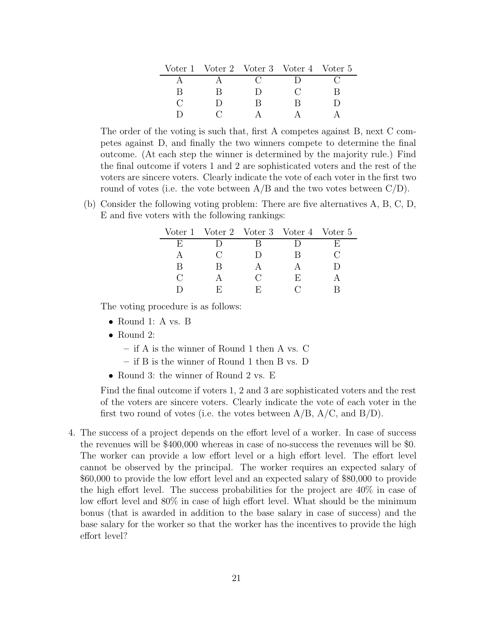|  | Voter 1 Voter 2 Voter 3 Voter 4 Voter 5 |  |
|--|-----------------------------------------|--|
|  |                                         |  |
|  |                                         |  |
|  |                                         |  |
|  |                                         |  |

The order of the voting is such that, first A competes against B, next C competes against D, and finally the two winners compete to determine the final outcome. (At each step the winner is determined by the majority rule.) Find the final outcome if voters 1 and 2 are sophisticated voters and the rest of the voters are sincere voters. Clearly indicate the vote of each voter in the first two round of votes (i.e. the vote between  $A/B$  and the two votes between  $C/D$ ).

(b) Consider the following voting problem: There are five alternatives A, B, C, D, E and five voters with the following rankings:

|        |                  |                | Voter 1 Voter 2 Voter 3 Voter 4 Voter 5 |  |
|--------|------------------|----------------|-----------------------------------------|--|
| Н)     |                  |                |                                         |  |
|        | $\mathfrak{c}$ : |                | R                                       |  |
| R      | R                |                |                                         |  |
| $\cap$ |                  | $\mathfrak{C}$ | Н,                                      |  |
|        | н.               | н:             |                                         |  |

The voting procedure is as follows:

- Round 1: A vs. B
- Round 2:
	- **–** if A is the winner of Round 1 then A vs. C
	- **–** if B is the winner of Round 1 then B vs. D
- Round 3: the winner of Round 2 vs. E

Find the final outcome if voters 1, 2 and 3 are sophisticated voters and the rest of the voters are sincere voters. Clearly indicate the vote of each voter in the first two round of votes (i.e. the votes between  $A/B$ ,  $A/C$ , and  $B/D$ ).

4. The success of a project depends on the effort level of a worker. In case of success the revenues will be \$400,000 whereas in case of no-success the revenues will be \$0. The worker can provide a low effort level or a high effort level. The effort level cannot be observed by the principal. The worker requires an expected salary of \$60,000 to provide the low effort level and an expected salary of \$80,000 to provide the high effort level. The success probabilities for the project are 40% in case of low effort level and 80% in case of high effort level. What should be the minimum bonus (that is awarded in addition to the base salary in case of success) and the base salary for the worker so that the worker has the incentives to provide the high effort level?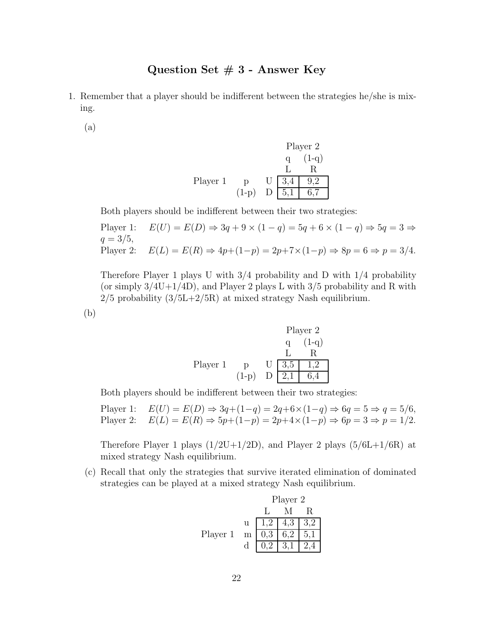## **Question Set # 3 - Answer Key**

- 1. Remember that a player should be indifferent between the strategies he/she is mixing.
	- (a)

Player 2  
\n
$$
q (1-q)
$$
\n
$$
L R
$$
\nPlayer 1  
\n
$$
Q
$$
\n
$$
U 3,4 9,2
$$
\n
$$
(1-p)
$$
\n
$$
D 5,1 6,7
$$

Both players should be indifferent between their two strategies:

Player 1: 
$$
E(U) = E(D) \Rightarrow 3q + 9 \times (1 - q) = 5q + 6 \times (1 - q) \Rightarrow 5q = 3 \Rightarrow
$$
  
\n $q = 3/5,$   
\nPlayer 2:  $E(L) = E(R) \Rightarrow 4p + (1 - p) = 2p + 7 \times (1 - p) \Rightarrow 8p = 6 \Rightarrow p = 3/4.$ 

Therefore Player 1 plays U with 3/4 probability and D with 1/4 probability (or simply  $3/4U+1/4D$ ), and Player 2 plays L with  $3/5$  probability and R with  $2/5$  probability  $(3/5L+2/5R)$  at mixed strategy Nash equilibrium.

(b)

Player 2  
\n
$$
\begin{array}{c}\n\text{Player 2} \\
q \quad (1-q) \\
L \quad R \\
\text{Player 1} \\
q \quad p \quad U \quad 3,5 \quad 1,2 \\
(1-p) \quad D \quad 2,1 \quad 6,4\n\end{array}
$$

Both players should be indifferent between their two strategies:

Player 1: 
$$
E(U) = E(D) \Rightarrow 3q + (1-q) = 2q + 6 \times (1-q) \Rightarrow 6q = 5 \Rightarrow q = 5/6,
$$
  
Player 2:  $E(L) = E(R) \Rightarrow 5p + (1-p) = 2p + 4 \times (1-p) \Rightarrow 6p = 3 \Rightarrow p = 1/2.$ 

Therefore Player 1 plays  $(1/2U+1/2D)$ , and Player 2 plays  $(5/6L+1/6R)$  at mixed strategy Nash equilibrium.

(c) Recall that only the strategies that survive iterated elimination of dominated strategies can be played at a mixed strategy Nash equilibrium.

|          |     | Player 2 |                |     |
|----------|-----|----------|----------------|-----|
|          |     |          |                |     |
|          | u – | $1,2$    | 4,3            | 3,2 |
| Player 1 | m   | 0,3      | 6.2            | 5,1 |
|          |     |          | $\sqrt{3,1}$ 1 | 2,4 |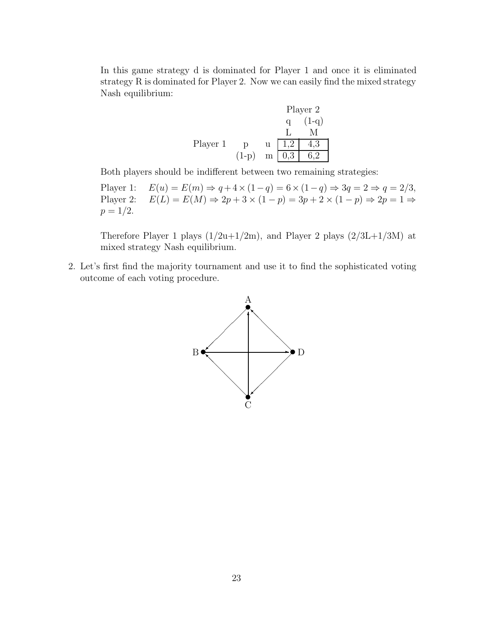In this game strategy d is dominated for Player 1 and once it is eliminated strategy R is dominated for Player 2. Now we can easily find the mixed strategy Nash equilibrium:

|          |         |   |     | Player 2 |
|----------|---------|---|-----|----------|
|          |         |   |     | $(1-q)$  |
|          |         |   |     |          |
| Player 1 | D       | u | 1.2 | 4,3      |
|          | $(1-p)$ | m |     |          |

Both players should be indifferent between two remaining strategies:

Player 1:  $E(u) = E(m) \Rightarrow q + 4 \times (1 - q) = 6 \times (1 - q) \Rightarrow 3q = 2 \Rightarrow q = 2/3,$ <br>Player 2:  $E(L) = E(M) \Rightarrow 2p + 3 \times (1 - p) = 3p + 2 \times (1 - p) \Rightarrow 2p = 1 \Rightarrow$  $E(L) = E(M) \Rightarrow 2p + 3 \times (1-p) = 3p + 2 \times (1-p) \Rightarrow 2p = 1 \Rightarrow$  $p = 1/2$ .

Therefore Player 1 plays  $(1/2u+1/2m)$ , and Player 2 plays  $(2/3L+1/3M)$  at mixed strategy Nash equilibrium.

2. Let's first find the majority tournament and use it to find the sophisticated voting outcome of each voting procedure.

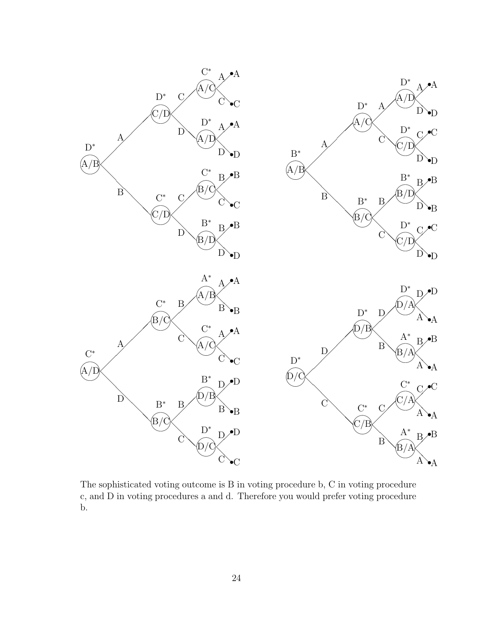

The sophisticated voting outcome is B in voting procedure b, C in voting procedure c, and D in voting procedures a and d. Therefore you would prefer voting procedure b.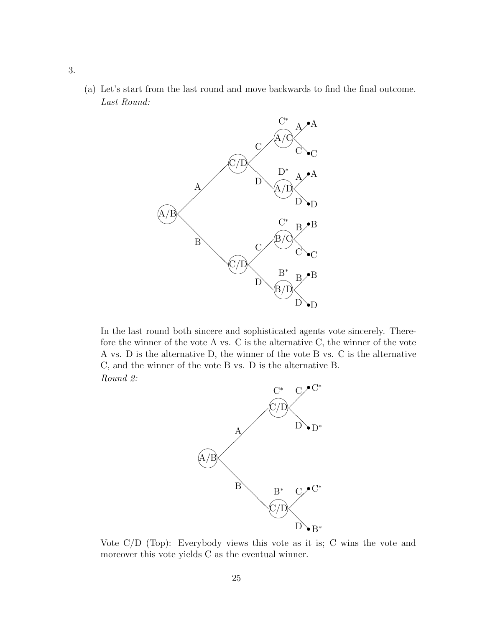(a) Let's start from the last round and move backwards to find the final outcome. Last Round:



In the last round both sincere and sophisticated agents vote sincerely. Therefore the winner of the vote A vs. C is the alternative C, the winner of the vote A vs. D is the alternative D, the winner of the vote B vs. C is the alternative C, and the winner of the vote B vs. D is the alternative B. Round 2:



Vote C/D (Top): Everybody views this vote as it is; C wins the vote and moreover this vote yields C as the eventual winner.

3.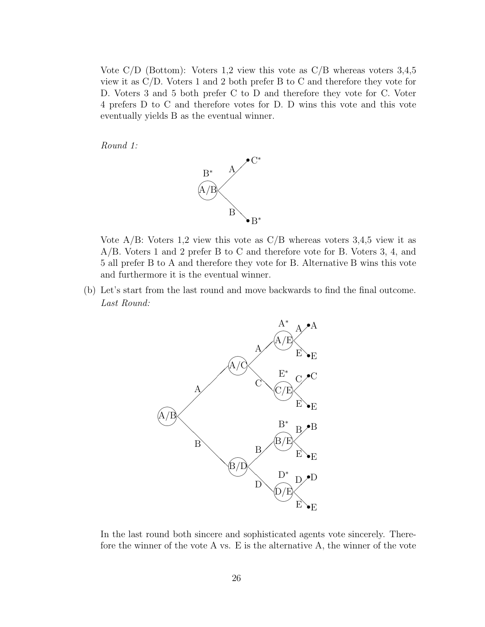Vote C/D (Bottom): Voters 1,2 view this vote as C/B whereas voters 3,4,5 view it as C/D. Voters 1 and 2 both prefer B to C and therefore they vote for D. Voters 3 and 5 both prefer C to D and therefore they vote for C. Voter 4 prefers D to C and therefore votes for D. D wins this vote and this vote eventually yields B as the eventual winner.

Round 1:



Vote  $A/B$ : Voters 1,2 view this vote as  $C/B$  whereas voters 3,4,5 view it as A/B. Voters 1 and 2 prefer B to C and therefore vote for B. Voters 3, 4, and 5 all prefer B to A and therefore they vote for B. Alternative B wins this vote and furthermore it is the eventual winner.

(b) Let's start from the last round and move backwards to find the final outcome. Last Round:



In the last round both sincere and sophisticated agents vote sincerely. Therefore the winner of the vote A vs. E is the alternative A, the winner of the vote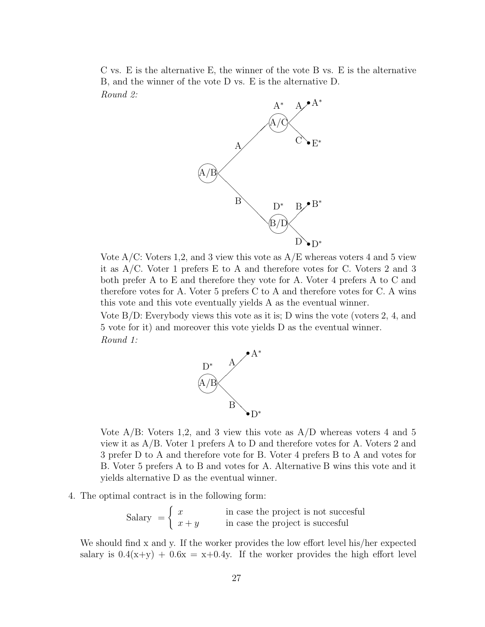C vs. E is the alternative E, the winner of the vote B vs. E is the alternative B, and the winner of the vote D vs. E is the alternative D. Round 2:



Vote  $A/C$ : Voters 1,2, and 3 view this vote as  $A/E$  whereas voters 4 and 5 view it as A/C. Voter 1 prefers E to A and therefore votes for C. Voters 2 and 3 both prefer A to E and therefore they vote for A. Voter 4 prefers A to C and therefore votes for A. Voter 5 prefers C to A and therefore votes for C. A wins this vote and this vote eventually yields A as the eventual winner.

Vote B/D: Everybody views this vote as it is; D wins the vote (voters 2, 4, and 5 vote for it) and moreover this vote yields D as the eventual winner. Round 1:



Vote  $A/B$ : Voters 1,2, and 3 view this vote as  $A/D$  whereas voters 4 and 5 view it as A/B. Voter 1 prefers A to D and therefore votes for A. Voters 2 and 3 prefer D to A and therefore vote for B. Voter 4 prefers B to A and votes for B. Voter 5 prefers A to B and votes for A. Alternative B wins this vote and it yields alternative D as the eventual winner.

4. The optimal contract is in the following form:

 $S_{\text{salary}} = \begin{cases} x & \text{in case the project is not successful} \\ y & \text{in case the project is successful} \end{cases}$  $x + y$  in case the project is succesful

We should find x and y. If the worker provides the low effort level his/her expected salary is  $0.4(x+y) + 0.6x = x+0.4y$ . If the worker provides the high effort level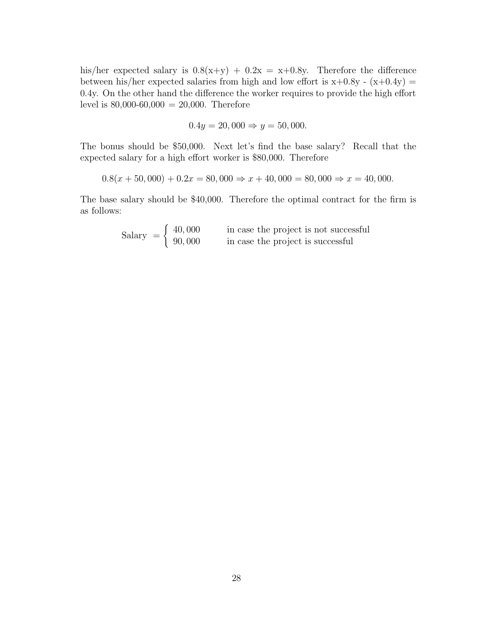his/her expected salary is  $0.8(x+y) + 0.2x = x+0.8y$ . Therefore the difference between his/her expected salaries from high and low effort is  $x+0.8y - (x+0.4y) =$ 0.4y. On the other hand the difference the worker requires to provide the high effort level is  $80,000-60,000 = 20,000$ . Therefore

$$
0.4y = 20,000 \Rightarrow y = 50,000.
$$

The bonus should be \$50,000. Next let's find the base salary? Recall that the expected salary for a high effort worker is \$80,000. Therefore

$$
0.8(x + 50,000) + 0.2x = 80,000 \Rightarrow x + 40,000 = 80,000 \Rightarrow x = 40,000.
$$

The base salary should be \$40,000. Therefore the optimal contract for the firm is as follows:

> Salary  $=$   $\begin{cases} 40,000 \\ 90,000 \end{cases}$ in case the project is not successful in case the project is successful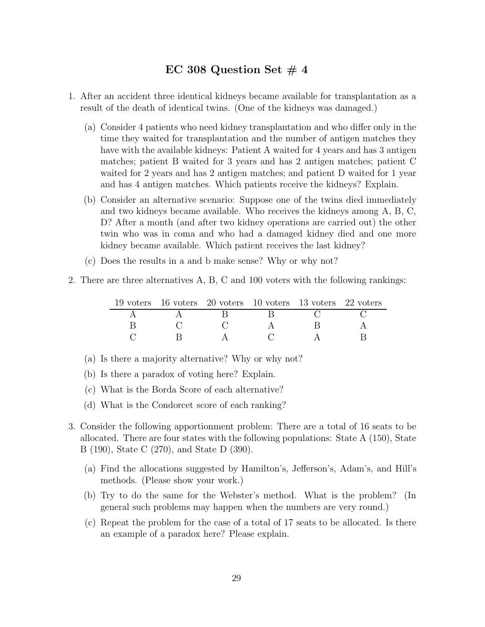## EC 308 Question Set  $\#$  4

- 1. After an accident three identical kidneys became available for transplantation as a result of the death of identical twins. (One of the kidneys was damaged.)
	- (a) Consider 4 patients who need kidney transplantation and who differ only in the time they waited for transplantation and the number of antigen matches they have with the available kidneys: Patient A waited for 4 years and has 3 antigen matches; patient B waited for 3 years and has 2 antigen matches; patient C waited for 2 years and has 2 antigen matches; and patient D waited for 1 year and has 4 antigen matches. Which patients receive the kidneys? Explain.
	- (b) Consider an alternative scenario: Suppose one of the twins died immediately and two kidneys became available. Who receives the kidneys among A, B, C, D? After a month (and after two kidney operations are carried out) the other twin who was in coma and who had a damaged kidney died and one more kidney became available. Which patient receives the last kidney?
	- (c) Does the results in a and b make sense? Why or why not?
- 2. There are three alternatives A, B, C and 100 voters with the following rankings:

|  | 19 voters 16 voters 20 voters 10 voters 13 voters 22 voters |  |
|--|-------------------------------------------------------------|--|
|  |                                                             |  |
|  |                                                             |  |
|  |                                                             |  |

- (a) Is there a majority alternative? Why or why not?
- (b) Is there a paradox of voting here? Explain.
- (c) What is the Borda Score of each alternative?
- (d) What is the Condorcet score of each ranking?
- 3. Consider the following apportionment problem: There are a total of 16 seats to be allocated. There are four states with the following populations: State A (150), State B (190), State C (270), and State D (390).
	- (a) Find the allocations suggested by Hamilton's, Jefferson's, Adam's, and Hill's methods. (Please show your work.)
	- (b) Try to do the same for the Webster's method. What is the problem? (In general such problems may happen when the numbers are very round.)
	- (c) Repeat the problem for the case of a total of 17 seats to be allocated. Is there an example of a paradox here? Please explain.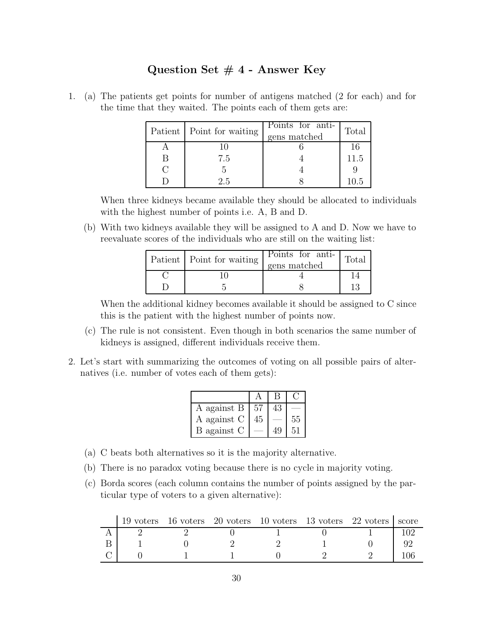## **Question Set # 4 - Answer Key**

1. (a) The patients get points for number of antigens matched (2 for each) and for the time that they waited. The points each of them gets are:

| Patient   Point for waiting | Points for anti-<br>gens matched | Total |
|-----------------------------|----------------------------------|-------|
|                             |                                  |       |
| 7.5                         |                                  | 11.5  |
|                             |                                  |       |
| 25                          |                                  | 10.5  |

When three kidneys became available they should be allocated to individuals with the highest number of points i.e. A, B and D.

(b) With two kidneys available they will be assigned to A and D. Now we have to reevaluate scores of the individuals who are still on the waiting list:

| Patient   Point for waiting | Points for anti-<br>gens matched | Total |
|-----------------------------|----------------------------------|-------|
|                             |                                  |       |
|                             |                                  |       |

When the additional kidney becomes available it should be assigned to C since this is the patient with the highest number of points now.

- (c) The rule is not consistent. Even though in both scenarios the same number of kidneys is assigned, different individuals receive them.
- 2. Let's start with summarizing the outcomes of voting on all possible pairs of alternatives (i.e. number of votes each of them gets):

|             |    | B  |    |
|-------------|----|----|----|
| A against B | 57 | 43 |    |
| A against C | 45 |    | 55 |
| B against C |    | 49 | 51 |

- (a) C beats both alternatives so it is the majority alternative.
- (b) There is no paradox voting because there is no cycle in majority voting.
- (c) Borda scores (each column contains the number of points assigned by the particular type of voters to a given alternative):

|  | 19 voters 16 voters 20 voters 10 voters 13 voters 22 voters score |  |  |
|--|-------------------------------------------------------------------|--|--|
|  |                                                                   |  |  |
|  |                                                                   |  |  |
|  |                                                                   |  |  |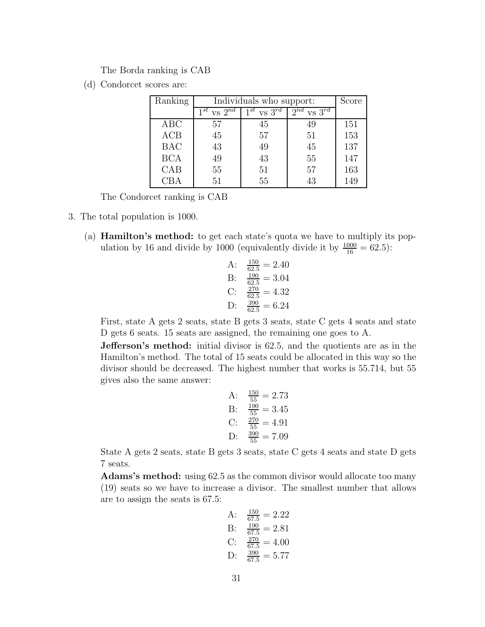The Borda ranking is CAB

(d) Condorcet scores are:

| Ranking    | Individuals who support: | Score                |                      |     |
|------------|--------------------------|----------------------|----------------------|-----|
|            | $vs\ 2^{nd}$<br>$1^{st}$ | $1^{st}$ vs $3^{rd}$ | $2^{nd}$ vs $3^{rd}$ |     |
| ABC        | 57                       | 45                   | 49                   | 151 |
| ACB        | 45                       | 57                   | 51                   | 153 |
| <b>BAC</b> | 43                       | 49                   | 45                   | 137 |
| <b>BCA</b> | 49                       | 43                   | 55                   | 147 |
| CAB        | 55                       | 51                   | 57                   | 163 |
| CBA        | 51                       | 55                   | 43                   | 149 |

The Condorcet ranking is CAB

- 3. The total population is 1000.
	- (a) **Hamilton's method:** to get each state's quota we have to multiply its population by 16 and divide by 1000 (equivalently divide it by  $\frac{1000}{16} = 62.5$ ):
		- A:  $\frac{150}{62.5} = 2.40$ B:  $\frac{190}{62.5} = 3.04$ C:  $\frac{270}{62.5} = 4.32$ D:  $\frac{390}{62.5} = 6.24$

First, state A gets 2 seats, state B gets 3 seats, state C gets 4 seats and state D gets 6 seats. 15 seats are assigned, the remaining one goes to A.

**Jefferson's method:** initial divisor is 62.5, and the quotients are as in the Hamilton's method. The total of 15 seats could be allocated in this way so the divisor should be decreased. The highest number that works is 55.714, but 55 gives also the same answer:

A: 
$$
\frac{150}{55} = 2.73
$$
  
\nB:  $\frac{190}{55} = 3.45$   
\nC:  $\frac{270}{55} = 4.91$   
\nD:  $\frac{390}{55} = 7.09$ 

State A gets 2 seats, state B gets 3 seats, state C gets 4 seats and state D gets 7 seats.

**Adams's method:** using 62.5 as the common divisor would allocate too many (19) seats so we have to increase a divisor. The smallest number that allows are to assign the seats is 67.5:

A: 
$$
\frac{150}{67.5} = 2.22
$$
  
\nB:  $\frac{190}{67.5} = 2.81$   
\nC:  $\frac{270}{67.5} = 4.00$   
\nD:  $\frac{390}{67.5} = 5.77$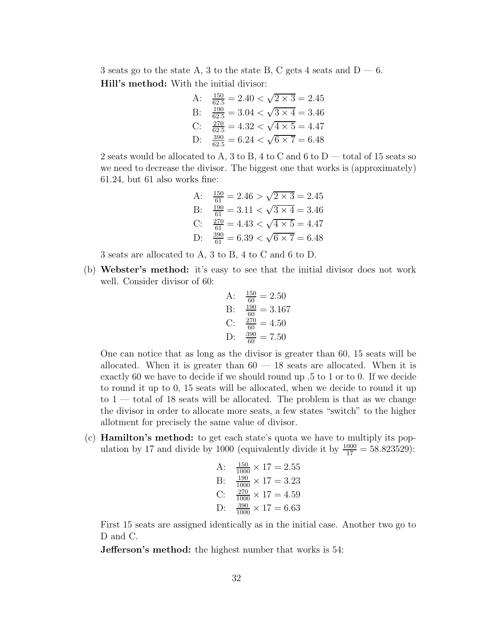3 seats go to the state A, 3 to the state B, C gets 4 seats and  $D - 6$ . **Hill's method:** With the initial divisor:

A: 
$$
\frac{150}{62.5} = 2.40 < \sqrt{2 \times 3} = 2.45
$$
\nB: 
$$
\frac{190}{62.5} = 3.04 < \sqrt{3 \times 4} = 3.46
$$
\nC: 
$$
\frac{270}{62.5} = 4.32 < \sqrt{4 \times 5} = 4.47
$$
\nD: 
$$
\frac{390}{62.5} = 6.24 < \sqrt{6 \times 7} = 6.48
$$

2 seats would be allocated to A, 3 to B, 4 to C and 6 to  $D$  — total of 15 seats so we need to decrease the divisor. The biggest one that works is (approximately) 61.24, but 61 also works fine:

A: 
$$
\frac{150}{61} = 2.46 > \sqrt{2 \times 3} = 2.45
$$
  
\nB:  $\frac{190}{61} = 3.11 < \sqrt{3 \times 4} = 3.46$   
\nC:  $\frac{270}{61} = 4.43 < \sqrt{4 \times 5} = 4.47$   
\nD:  $\frac{390}{61} = 6.39 < \sqrt{6 \times 7} = 6.48$ 

3 seats are allocated to A, 3 to B, 4 to C and 6 to D.

(b) **Webster's method:** it's easy to see that the initial divisor does not work well. Consider divisor of 60:

A: 
$$
\frac{150}{60} = 2.50
$$
  
\nB:  $\frac{190}{60} = 3.167$   
\nC:  $\frac{270}{60} = 4.50$   
\nD:  $\frac{390}{60} = 7.50$ 

One can notice that as long as the divisor is greater than 60, 15 seats will be allocated. When it is greater than  $60 - 18$  seats are allocated. When it is exactly 60 we have to decide if we should round up *.*5 to 1 or to 0. If we decide to round it up to 0, 15 seats will be allocated, when we decide to round it up to 1 — total of 18 seats will be allocated. The problem is that as we change the divisor in order to allocate more seats, a few states "switch" to the higher allotment for precisely the same value of divisor.

(c) **Hamilton's method:** to get each state's quota we have to multiply its population by 17 and divide by 1000 (equivalently divide it by  $\frac{1000}{17} = 58.823529$ ):

A: 
$$
\frac{150}{1000} \times 17 = 2.55
$$
  
\nB:  $\frac{190}{1000} \times 17 = 3.23$   
\nC:  $\frac{270}{1000} \times 17 = 4.59$   
\nD:  $\frac{390}{1000} \times 17 = 6.63$ 

First 15 seats are assigned identically as in the initial case. Another two go to D and C.

**Jefferson's method:** the highest number that works is 54: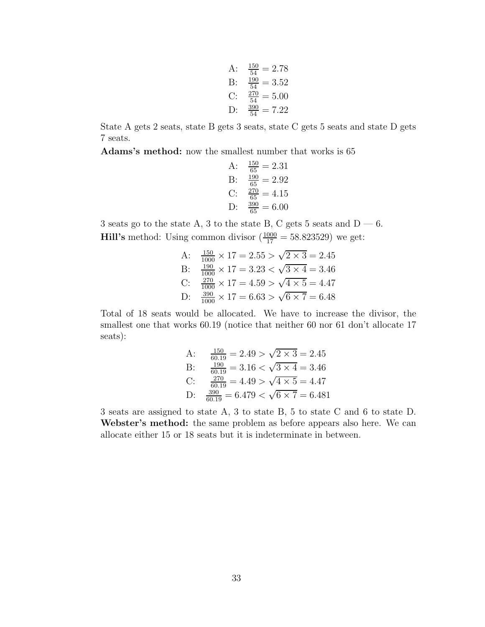A: 
$$
\frac{150}{54} = 2.78
$$
  
\nB:  $\frac{190}{54} = 3.52$   
\nC:  $\frac{270}{54} = 5.00$   
\nD:  $\frac{390}{54} = 7.22$ 

State A gets 2 seats, state B gets 3 seats, state C gets 5 seats and state D gets 7 seats.

**Adams's method:** now the smallest number that works is 65

A: 
$$
\frac{150}{65} = 2.31
$$
  
\nB:  $\frac{190}{65} = 2.92$   
\nC:  $\frac{270}{65} = 4.15$   
\nD:  $\frac{390}{65} = 6.00$ 

3 seats go to the state A, 3 to the state B, C gets 5 seats and  $D - 6$ . **Hill's** method: Using common divisor  $\left(\frac{1000}{17} = 58.823529\right)$  we get:

A: 
$$
\frac{150}{1000} \times 17 = 2.55 > \sqrt{2 \times 3} = 2.45
$$
  
\nB:  $\frac{190}{1000} \times 17 = 3.23 < \sqrt{3 \times 4} = 3.46$   
\nC:  $\frac{270}{1000} \times 17 = 4.59 > \sqrt{4 \times 5} = 4.47$   
\nD:  $\frac{390}{1000} \times 17 = 6.63 > \sqrt{6 \times 7} = 6.48$ 

Total of 18 seats would be allocated. We have to increase the divisor, the smallest one that works 60.19 (notice that neither 60 nor 61 don't allocate 17 seats):

A: 
$$
\frac{150}{60.19} = 2.49 > \sqrt{2 \times 3} = 2.45
$$
  
\nB: 
$$
\frac{190}{60.19} = 3.16 < \sqrt{3 \times 4} = 3.46
$$
  
\nC: 
$$
\frac{270}{60.19} = 4.49 > \sqrt{4 \times 5} = 4.47
$$
  
\nD: 
$$
\frac{390}{60.19} = 6.479 < \sqrt{6 \times 7} = 6.481
$$

3 seats are assigned to state A, 3 to state B, 5 to state C and 6 to state D. **Webster's method:** the same problem as before appears also here. We can allocate either 15 or 18 seats but it is indeterminate in between.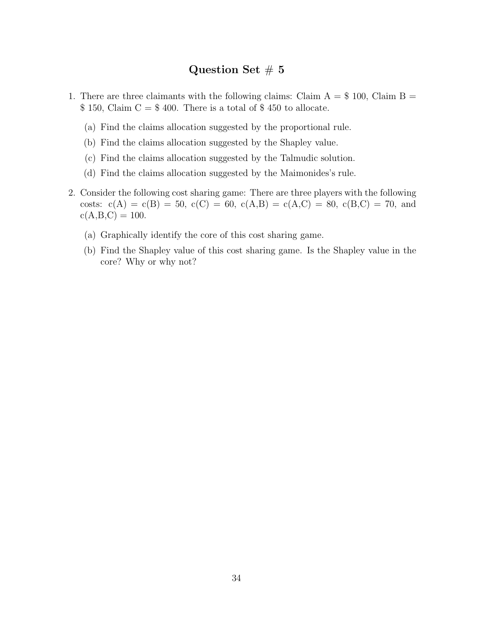## **Question Set** # **5**

- 1. There are three claimants with the following claims: Claim  $A = $100$ , Claim  $B =$  $$ 150, Claim C = $ 400. There is a total of $ 450 to allocate.$ 
	- (a) Find the claims allocation suggested by the proportional rule.
	- (b) Find the claims allocation suggested by the Shapley value.
	- (c) Find the claims allocation suggested by the Talmudic solution.
	- (d) Find the claims allocation suggested by the Maimonides's rule.
- 2. Consider the following cost sharing game: There are three players with the following costs:  $c(A) = c(B) = 50$ ,  $c(C) = 60$ ,  $c(A,B) = c(A,C) = 80$ ,  $c(B,C) = 70$ , and  $c(A,B,C) = 100.$ 
	- (a) Graphically identify the core of this cost sharing game.
	- (b) Find the Shapley value of this cost sharing game. Is the Shapley value in the core? Why or why not?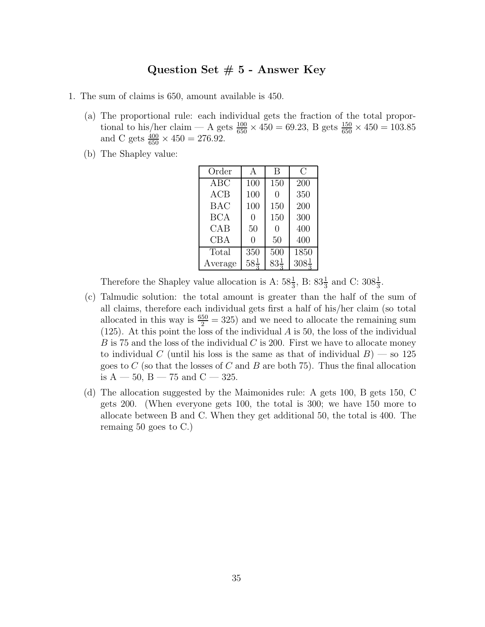## **Question Set # 5 - Answer Key**

- 1. The sum of claims is 650, amount available is 450.
	- (a) The proportional rule: each individual gets the fraction of the total proportional to his/her claim  $-$  A gets  $\frac{100}{650} \times 450 = 69.23$ , B gets  $\frac{150}{650} \times 450 = 103.85$ and C gets  $\frac{400}{650} \times 450 = 276.92$ .
	- (b) The Shapley value:

| Order      | A               | B               | С                |
|------------|-----------------|-----------------|------------------|
| ABC        | 100             | 150             | 200              |
| ACB        | 100             | 0               | 350              |
| <b>BAC</b> | 100             | 150             | 200              |
| <b>BCA</b> | 0               | 150             | 300              |
| CAB        | 50              | 0               | 400              |
| <b>CBA</b> | 0               | 50              | 400              |
| Total      | 350             | 500             | 1850             |
| Average    | $58\frac{1}{2}$ | $83\frac{1}{2}$ | $308\frac{1}{2}$ |

Therefore the Shapley value allocation is A:  $58\frac{1}{3}$ , B:  $83\frac{1}{3}$  and C:  $308\frac{1}{3}$ .

- (c) Talmudic solution: the total amount is greater than the half of the sum of all claims, therefore each individual gets first a half of his/her claim (so total allocated in this way is  $\frac{650}{2} = 325$  and we need to allocate the remaining sum (125). At this point the loss of the individual *A* is 50, the loss of the individual *B* is 75 and the loss of the individual *C* is 200. First we have to allocate money to individual *C* (until his loss is the same as that of individual  $B$ ) — so 125 goes to *C* (so that the losses of *C* and *B* are both 75). Thus the final allocation is  $A - 50$ ,  $B - 75$  and  $C - 325$ .
- (d) The allocation suggested by the Maimonides rule: A gets 100, B gets 150, C gets 200. (When everyone gets 100, the total is 300; we have 150 more to allocate between B and C. When they get additional 50, the total is 400. The remaing 50 goes to C.)